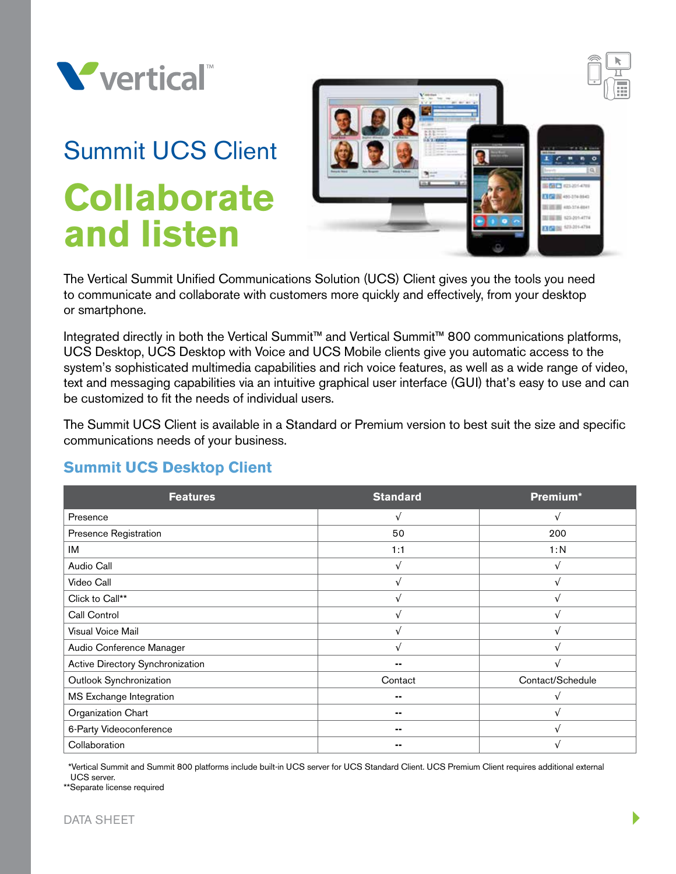

# Summit UCS Client **Collaborate and listen**



The Vertical Summit Unified Communications Solution (UCS) Client gives you the tools you need to communicate and collaborate with customers more quickly and effectively, from your desktop or smartphone.

Integrated directly in both the Vertical Summit™ and Vertical Summit™ 800 communications platforms, UCS Desktop, UCS Desktop with Voice and UCS Mobile clients give you automatic access to the system's sophisticated multimedia capabilities and rich voice features, as well as a wide range of video, text and messaging capabilities via an intuitive graphical user interface (GUI) that's easy to use and can be customized to fit the needs of individual users.

The Summit UCS Client is available in a Standard or Premium version to best suit the size and specific communications needs of your business.

## **Summit UCS Desktop Client**

| <b>Features</b>                  | <b>Standard</b> | Premium*         |
|----------------------------------|-----------------|------------------|
| Presence                         | $\sqrt{ }$      | $\sqrt{ }$       |
| Presence Registration            | 50              | 200              |
| IM                               | 1:1             | 1:N              |
| Audio Call                       |                 | $\sqrt{ }$       |
| Video Call                       |                 |                  |
| Click to Call**                  |                 |                  |
| Call Control                     |                 |                  |
| Visual Voice Mail                |                 |                  |
| Audio Conference Manager         |                 |                  |
| Active Directory Synchronization | --              |                  |
| Outlook Synchronization          | Contact         | Contact/Schedule |
| MS Exchange Integration          |                 |                  |
| Organization Chart               |                 |                  |
| 6-Party Videoconference          | --              |                  |
| Collaboration                    |                 |                  |

 \*Vertical Summit and Summit 800 platforms include built-in UCS server for UCS Standard Client. UCS Premium Client requires additional external UCS server.

\*\*Separate license required